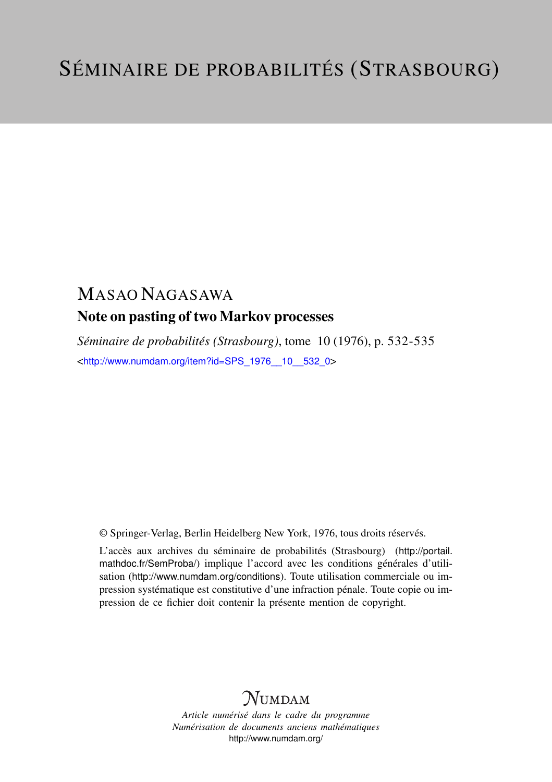## MASAO NAGASAWA Note on pasting of two Markov processes

*Séminaire de probabilités (Strasbourg)*, tome 10 (1976), p. 532-535 <[http://www.numdam.org/item?id=SPS\\_1976\\_\\_10\\_\\_532\\_0](http://www.numdam.org/item?id=SPS_1976__10__532_0)>

© Springer-Verlag, Berlin Heidelberg New York, 1976, tous droits réservés.

L'accès aux archives du séminaire de probabilités (Strasbourg) ([http://portail.](http://portail.mathdoc.fr/SemProba/) [mathdoc.fr/SemProba/](http://portail.mathdoc.fr/SemProba/)) implique l'accord avec les conditions générales d'utilisation (<http://www.numdam.org/conditions>). Toute utilisation commerciale ou impression systématique est constitutive d'une infraction pénale. Toute copie ou impression de ce fichier doit contenir la présente mention de copyright.

## **NUMDAM**

*Article numérisé dans le cadre du programme Numérisation de documents anciens mathématiques* <http://www.numdam.org/>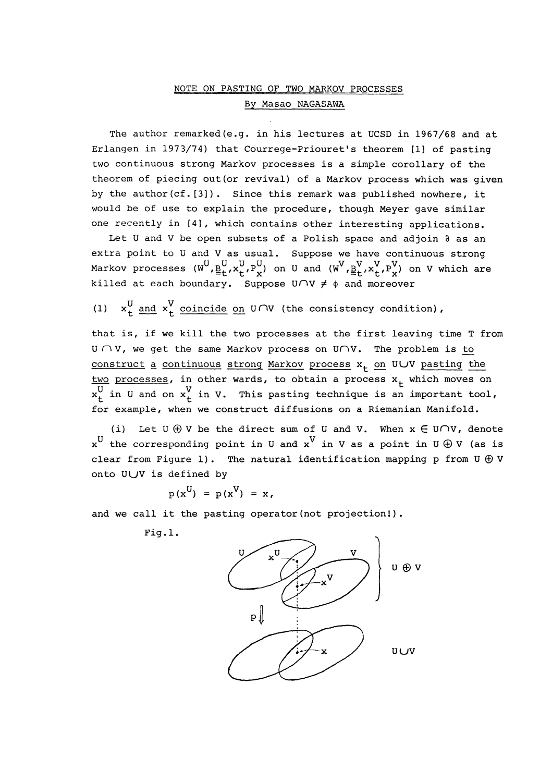## NOTE ON PASTING OF TWO MARKOV PROCESSES By Masao NAGASAWA

The author remarked(e.g. in his lectures at UCSD in 1967/68 and at Erlangen in 1973/74) that Courrege-Priouret's theorem [1] of pasting two continuous strong Markov processes is a simple corollary of the theorem of piecing out(or revival) of a Markov process which was given by the author(cf.[3]). Since this remark was published nowhere, it would be of use to explain the procedure, though Meyer gave similar one recently in [4], which contains other interesting applications.

Let U and V be open subsets of a Polish space and adjoin  $\partial$  as an extra point to U and V as usual. Suppose we have continuous strong Markov processes  $(W^U, \underline{B}^U_t, x^U_t, P^U_x)$  on U and  $(W^V, \underline{B}^V_t, x^V_t, P^V_x)$  on V which are killed at each boundary. Suppose  $U\cap V \neq \emptyset$  and moreover

(1)  $x_+^U$  and  $x_+^V$  coincide on  $U \cap V$  (the consistency condition),

that is, if we kill the two processes at the first leaving time T from  $U \cap V$ , we get the same Markov process on  $U \cap V$ . The problem is to construct a continuous strong Markov process  $x_t$  on ULJV pasting the two processes, in other wards, to obtain a process  $x_t$  which moves on in U and on  $\mathsf{x}_\mathsf{t}^{\mathsf{y}}$  in V. This pasting technique is an important tool, for example, when we construct diffusions on a Riemanian Manifold.

(i) Let  $U \oplus V$  be the direct sum of U and V. When  $x \in U \cap V$ , denote  $x^U$  the corresponding point in U and  $x^V$  in V as a point in U  $\oplus$  V (as is clear from Figure 1). The natural identification mapping p from  $U \oplus V$ onto ULJV is defined by

$$
p(x^U) = p(x^V) = x,
$$

and we call it the pasting operator (not projection!).

Fig.1.

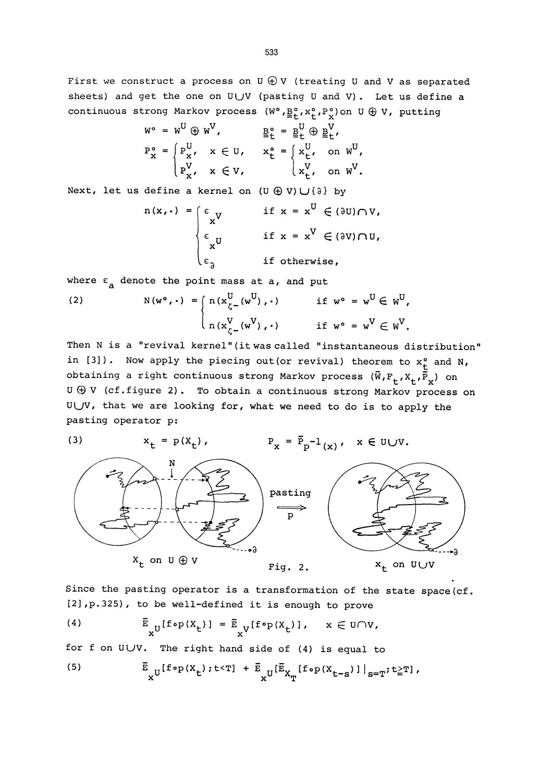First we construct a process on  $U \oplus V$  (treating U and V as separated sheets) and get the one on UUV (pasting U and V). Let us define a continuous strong Markov process  $(W^o, \underline{B}_t^o, x_t^o, P_x^o)$  on  $U \oplus V$ , putting

$$
w^{\circ} = w^{U} \oplus w^{V}, \qquad \underline{B}_{t}^{\circ} = \underline{B}_{t}^{U} \oplus \underline{B}_{t}^{V},
$$
  
\n
$$
P_{x}^{\circ} = \begin{cases} P_{x}^{U}, & x \in U, & x_{t}^{\circ} = \begin{cases} x_{t}^{U}, & \text{on } W^{U}, \\ P_{x}^{V}, & x \in V, \end{cases} \\ P_{x}^{V}, & x \in V, & \begin{cases} x_{t}^{V}, & \text{on } W^{V}. \end{cases} \end{cases}
$$

Next, let us define a kernel on  $(U \oplus V) \cup \{\lambda\}$  by

$$
n(x, \cdot) = \begin{cases} \varepsilon_x y & \text{if } x = x^U \in (3U) \cap V, \\ \varepsilon_x y & \text{if } x = x^V \in (3V) \cap U, \\ \varepsilon_3 & \text{if otherwise,} \end{cases}
$$

where  $\varepsilon$ <sub>a</sub> denote the point mass at a, and put

(2) 
$$
N(w^{\circ}, \cdot) = \begin{cases} n(x_{\zeta}^{U}(w^{U}), \cdot) & \text{if } w^{\circ} = w^{U} \in W^{U}, \\ n(x_{\zeta}^{V}(w^{V}), \cdot) & \text{if } w^{\circ} = w^{V} \in W^{V}. \end{cases}
$$

Then N is a "revival kernel" (it was called "instantaneous distribution" in [3]). Now apply the piecing out (or revival) theorem to  $x_t^o$  and N, obtaining a right continuous strong Markov process  $(\bar{W}, F_t, X_t, \bar{P}_x)$  on  $U \oplus V$  (cf.figure 2). To obtain a continuous strong Markov process on ULJV, that we are looking for, what we need to do is to apply the pasting operator p:



Since the pasting operator is a transformation of the state space(cf. [2], p.325), to be well-defined it is enough to prove

(4) 
$$
\bar{E}_{xU}[f \circ p(X_t)] = \bar{E}_{xV}[f \circ p(X_t)], \quad x \in U \cap V,
$$

for f on  $UUV$ . The right hand side of (4) is equal to

(5) 
$$
\bar{\mathbb{E}}_{\mathbf{x}^U}[\mathbf{f} \circ p(\mathbf{x}_t); t < \mathbf{T}] + \bar{\mathbb{E}}_{\mathbf{x}^U}[\bar{\mathbb{E}}_{\mathbf{X}_T}[\mathbf{f} \circ p(\mathbf{x}_{t-s})]|_{s=\mathbf{T}}; t \geq \mathbf{T}],
$$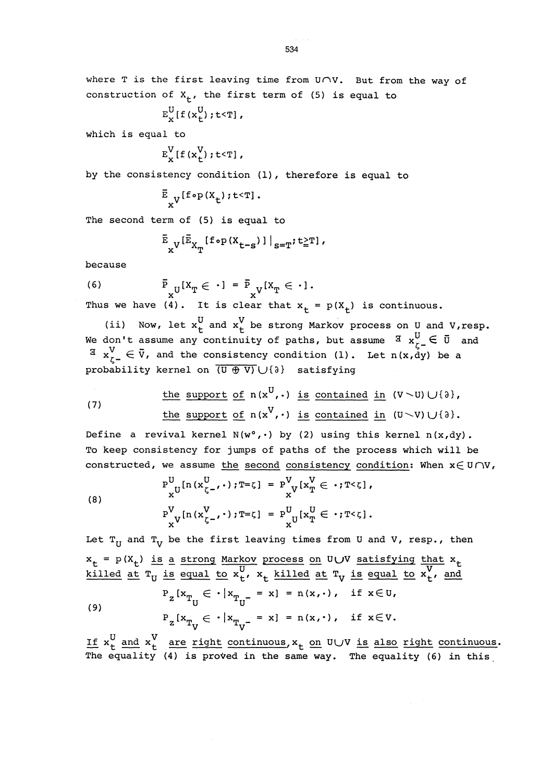$$
E_x^U[f(x_t^U);t<\mathtt{T}],
$$

which is equal to

$$
E_{x}^{V}[f(x_{t}^{V});t
$$

by the consistency condition (1), therefore is equal to

$$
^{\overline{\texttt{E}}}_{\mathbf{x}^{\texttt{V}}}{}^{[\texttt{f} \circ \texttt{p}(\texttt{X}_\texttt{t}); \texttt{t} \leq \texttt{T}] \, .
$$

The second term of (5) is equal to

$$
\sum_{x}^{\bar{E}} v^{\left[\bar{E}_{X_T}\left\{f \circ p\left(X_{t-s}\right)\right\}\right]}_{s=T} ; t \geq T,
$$

because

(6)  $P_{II}[X_m \in \cdot] = P_{IJ}[X_m \in \cdot].$  $x^{\vee}$  x  $x^{\vee}$ Thus we have (4). It is clear that  $x_t = p(X_t)$  is continuous.

(ii) Now, let  $x_t^U$  and  $x_t^V$  be strong Markov process on U and V,resp. We don't assume any continuity of paths, but assume  $\frac{1}{3}$   $\frac{1}{3}$   $\frac{1}{2}$   $\in$   $\bar{0}$  and  $\overline{a}$   $x_{r-}^V \in \overline{v}$ , and the consistency condition (1). Let n(x,dy) be a probability kernel on  $\overline{(\mathbb{U} \oplus \mathbb{V})} \cup {\mathbb{U}}$  satisfying

\n
$$
\text{the support of } n(x^U, \cdot) \text{ is contained in } (V \setminus U) \cup \{a\},
$$
\n

\n\n $\text{the support of } n(x^V, \cdot) \text{ is contained in } (U \setminus V) \cup \{a\}.$ \n

Define a revival kernel  $N(w^{\circ}, \cdot)$  by (2) using this kernel  $n(x, dy)$ . To keep consistency for jumps of paths of the process which will be constructed, we assume the second consistency condition: When  $x \in U \cap V$ ,

(8) 
$$
P_{x}^{U}[n(x_{\zeta^{-}}^{U}, \cdot); T = \zeta] = P_{x}^{V}[x_{T}^{V} \in \cdot; T < \zeta],
$$

$$
P_{x}^{V}[n(x_{\zeta^{-}}^{V}, \cdot); T = \zeta] = P_{x}^{U}[x_{T}^{U} \in \cdot; T < \zeta].
$$

Let  $T_{U}$  and  $T_{V}$  be the first leaving times from U and V, resp., then  $x_t = p(X_t)$  is a strong Markov process on U $\cup$ V satisfying that  $x_t$ <u>killed at</u>  $T_U$  is equal to  $x_t^U$ ,  $x_t$  <u>killed at</u>  $T_V$  is equal to  $x_t^V$ , and (9)  $P_{Z}[x_{T_{U}} \in \cdot |x_{T_{U^{-}}} = x] = n(x, \cdot), \text{ if } x \in U,$  $P_{Z}[x_{T_{V}} \in \cdot | x_{T_{V^{-}}} = x] = n(x, \cdot), \text{ if } x \in V.$ 

If  $x_t^U$  and  $x_t^V$  are right continuous,  $x_t$  on UUV is also right continuous. The equality (4) is proved in the same way. The equality (6) in this